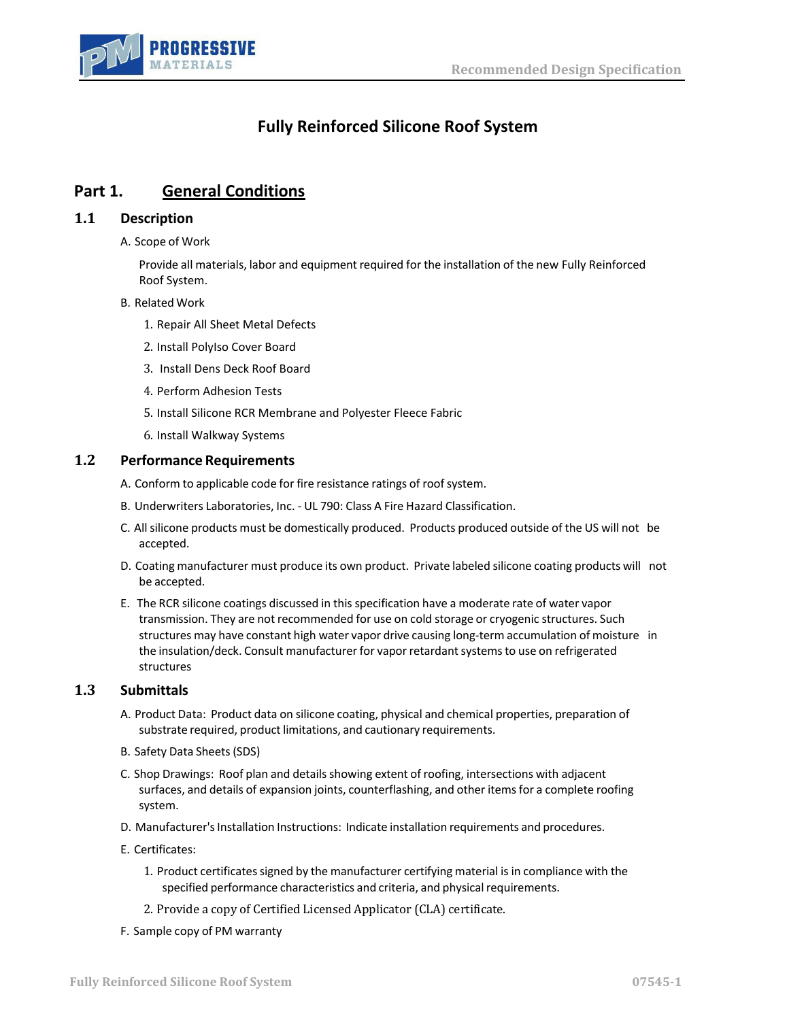

# **Fully Reinforced Silicone Roof System**

# **Part 1. General Conditions**

### **1.1 Description**

A. Scope of Work

Provide all materials, labor and equipment required for the installation of the new Fully Reinforced Roof System.

- B. Related Work
	- 1. Repair All Sheet Metal Defects
	- 2. Install PolyIso Cover Board
	- 3. Install Dens Deck Roof Board
	- 4. Perform Adhesion Tests
	- 5. Install Silicone RCR Membrane and Polyester Fleece Fabric
	- 6. Install Walkway Systems

#### **1.2 Performance Requirements**

- A. Conform to applicable code for fire resistance ratings of roof system.
- B. Underwriters Laboratories, Inc. UL 790: Class A Fire Hazard Classification.
- C. All silicone products must be domestically produced. Products produced outside of the US will not be accepted.
- D. Coating manufacturer must produce its own product. Private labeled silicone coating products will not be accepted.
- E. The RCR silicone coatings discussed in this specification have a moderate rate of water vapor transmission. They are not recommended for use on cold storage or cryogenic structures. Such structures may have constant high water vapor drive causing long-term accumulation of moisture in the insulation/deck. Consult manufacturer for vapor retardant systems to use on refrigerated structures

#### **1.3 Submittals**

- A. Product Data: Product data on silicone coating, physical and chemical properties, preparation of substrate required, product limitations, and cautionary requirements.
- B. Safety Data Sheets(SDS)
- C. Shop Drawings: Roof plan and details showing extent of roofing, intersections with adjacent surfaces, and details of expansion joints, counterflashing, and other items for a complete roofing system.
- D. Manufacturer's Installation Instructions: Indicate installation requirements and procedures.
- E. Certificates:
	- 1. Product certificates signed by the manufacturer certifying material is in compliance with the specified performance characteristics and criteria, and physical requirements.
	- 2. Provide a copy of Certified Licensed Applicator (CLA) certificate.
- F. Sample copy of PM warranty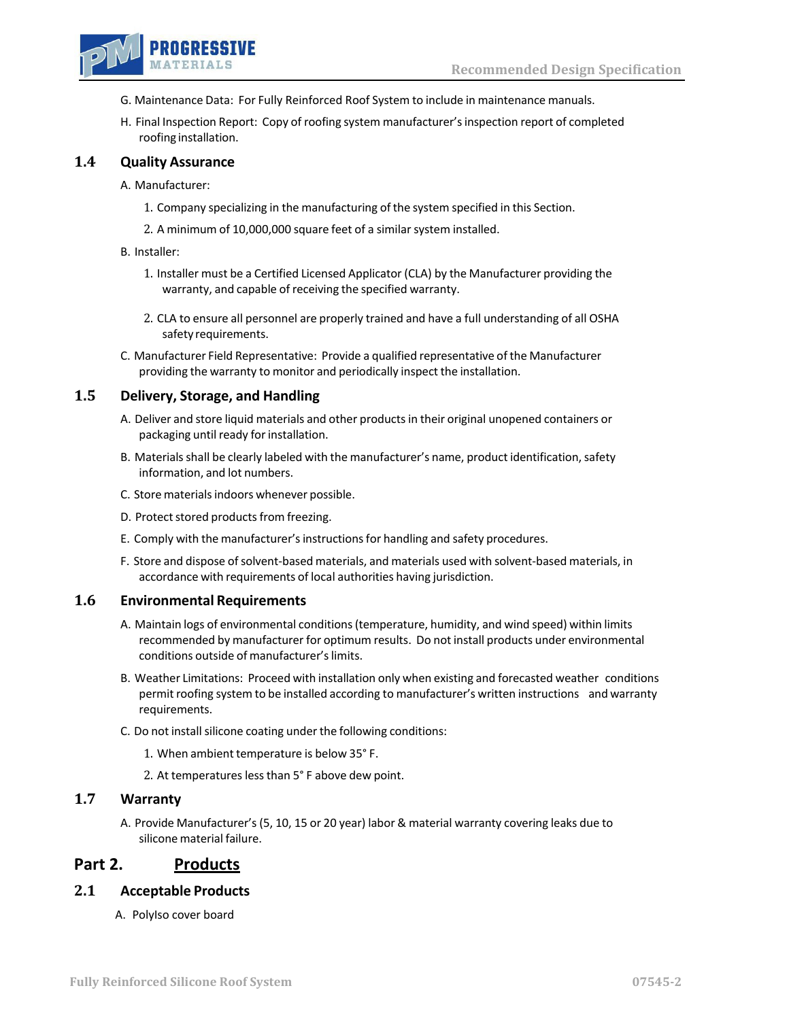

- G. Maintenance Data: For Fully Reinforced Roof System to include in maintenance manuals.
- H. Final Inspection Report: Copy of roofing system manufacturer'sinspection report of completed roofing installation.

#### **1.4 Quality Assurance**

A. Manufacturer:

- 1. Company specializing in the manufacturing of the system specified in this Section.
- 2. A minimum of 10,000,000 square feet of a similar system installed.

#### B. Installer:

- 1. Installer must be a Certified Licensed Applicator (CLA) by the Manufacturer providing the warranty, and capable of receiving the specified warranty.
- 2. CLA to ensure all personnel are properly trained and have a full understanding of all OSHA safety requirements.
- C. Manufacturer Field Representative: Provide a qualified representative of the Manufacturer providing the warranty to monitor and periodically inspect the installation.

#### **1.5 Delivery, Storage, and Handling**

- A. Deliver and store liquid materials and other productsin their original unopened containers or packaging until ready for installation.
- B. Materials shall be clearly labeled with the manufacturer's name, product identification, safety information, and lot numbers.
- C. Store materials indoors whenever possible.
- D. Protect stored products from freezing.
- E. Comply with the manufacturer's instructions for handling and safety procedures.
- F. Store and dispose of solvent-based materials, and materials used with solvent-based materials, in accordance with requirements of local authorities having jurisdiction.

### **1.6 Environmental Requirements**

- A. Maintain logs of environmental conditions(temperature, humidity, and wind speed) within limits recommended by manufacturer for optimum results. Do not install products under environmental conditions outside of manufacturer'slimits.
- B. Weather Limitations: Proceed with installation only when existing and forecasted weather conditions permit roofing system to be installed according to manufacturer's written instructions and warranty requirements.
- C. Do not install silicone coating under the following conditions:
	- 1. When ambient temperature is below 35° F.
	- 2. At temperatures lessthan 5° F above dew point.

### **1.7 Warranty**

A. Provide Manufacturer's (5, 10, 15 or 20 year) labor & material warranty covering leaks due to silicone material failure.

### **Part 2. Products**

### **2.1 Acceptable Products**

A. PolyIso cover board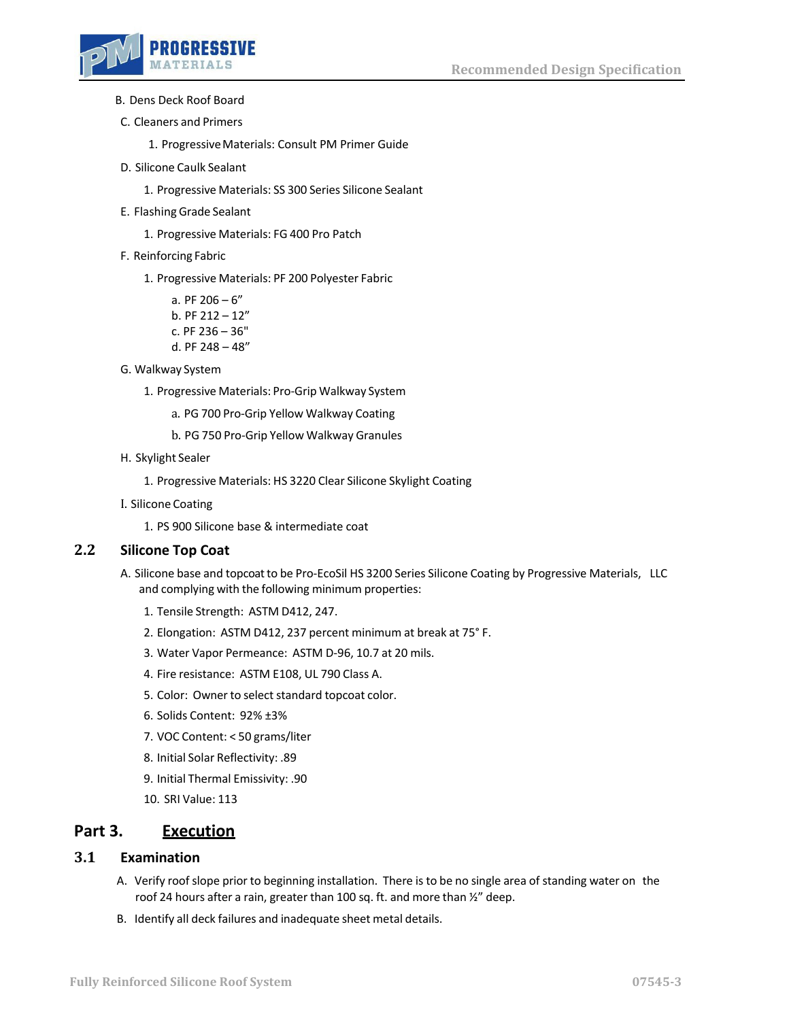

- B. Dens Deck Roof Board
- C. Cleaners and Primers

1. Progressive Materials: Consult PM Primer Guide

- D. Silicone Caulk Sealant
	- 1. Progressive Materials: SS 300 Series Silicone Sealant
- E. Flashing Grade Sealant
	- 1. Progressive Materials: FG 400 Pro Patch
- F. Reinforcing Fabric
	- 1. Progressive Materials: PF 200 Polyester Fabric
		- a. PF  $206 6$ " b. PF  $212 - 12"$ c. PF 236 – 36" d. PF 248 – 48"
- G. Walkway System
	- 1. Progressive Materials: Pro-Grip Walkway System
		- a. PG 700 Pro-Grip Yellow Walkway Coating
		- b. PG 750 Pro-Grip Yellow Walkway Granules
- H. Skylight Sealer
	- 1. Progressive Materials: HS 3220 Clear Silicone Skylight Coating
- I. Silicone Coating
	- 1. PS 900 Silicone base & intermediate coat

### **2.2 Silicone Top Coat**

- A. Silicone base and topcoatto be Pro-EcoSil HS 3200 Series Silicone Coating by Progressive Materials, LLC and complying with the following minimum properties:
	- 1. Tensile Strength: ASTM D412, 247.
	- 2. Elongation: ASTM D412, 237 percent minimum at break at 75° F.
	- 3. Water Vapor Permeance: ASTM D-96, 10.7 at 20 mils.
	- 4. Fire resistance: ASTM E108, UL 790 Class A.
	- 5. Color: Owner to select standard topcoat color.
	- 6. Solids Content: 92% ±3%
	- 7. VOC Content: < 50 grams/liter
	- 8. Initial Solar Reflectivity: .89
	- 9. Initial Thermal Emissivity: .90
	- 10. SRI Value: 113

### **Part 3. Execution**

### **3.1 Examination**

- A. Verify roofslope prior to beginning installation. There is to be no single area of standing water on the roof 24 hours after a rain, greater than 100 sq. ft. and more than ½" deep.
- B. Identify all deck failures and inadequate sheet metal details.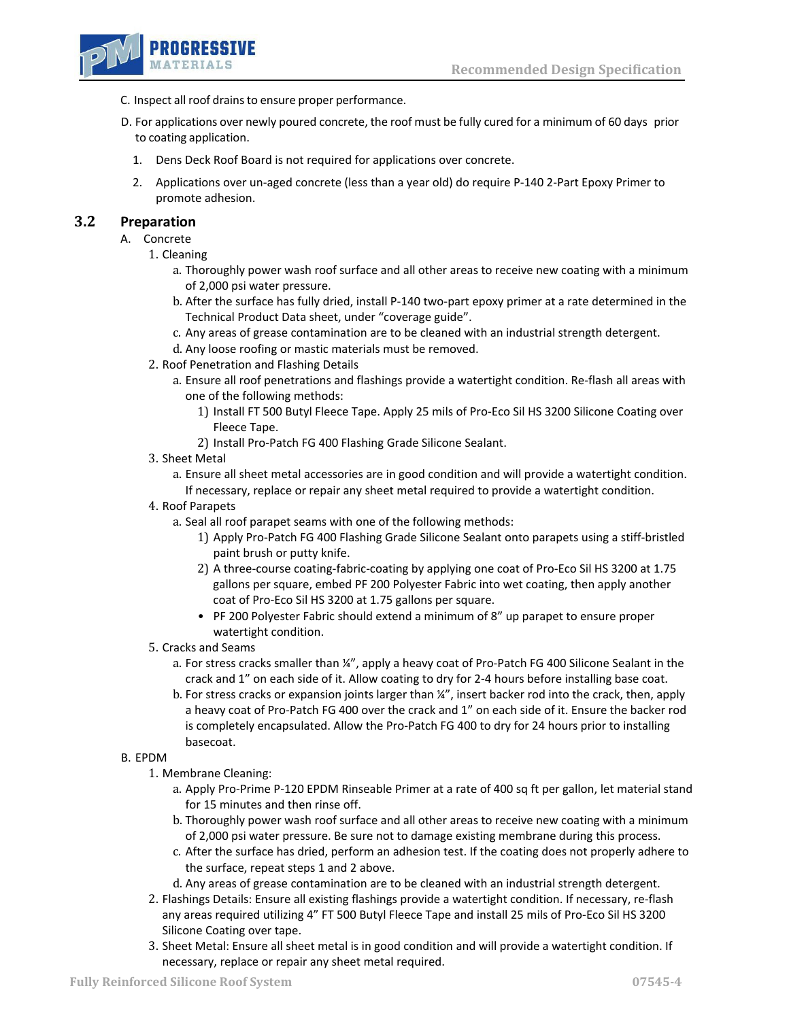

- C. Inspect all roof drains to ensure proper performance.
- D. For applications over newly poured concrete, the roof must be fully cured for a minimum of 60 days prior to coating application.
	- 1. Dens Deck Roof Board is not required for applications over concrete.
	- 2. Applications over un-aged concrete (less than a year old) do require P-140 2-Part Epoxy Primer to promote adhesion.

### **3.2 Preparation**

- A. Concrete
	- 1. Cleaning
		- a. Thoroughly power wash roof surface and all other areas to receive new coating with a minimum of 2,000 psi water pressure.
		- b. After the surface has fully dried, install P-140 two-part epoxy primer at a rate determined in the Technical Product Data sheet, under "coverage guide".
		- c. Any areas of grease contamination are to be cleaned with an industrial strength detergent.
		- d. Any loose roofing or mastic materials must be removed.
	- 2. Roof Penetration and Flashing Details
		- a. Ensure all roof penetrations and flashings provide a watertight condition. Re-flash all areas with one of the following methods:
			- 1) Install FT 500 Butyl Fleece Tape. Apply 25 mils of Pro-Eco Sil HS 3200 Silicone Coating over Fleece Tape.
			- 2) Install Pro-Patch FG 400 Flashing Grade Silicone Sealant.
	- 3. Sheet Metal
		- a. Ensure all sheet metal accessories are in good condition and will provide a watertight condition. If necessary, replace or repair any sheet metal required to provide a watertight condition.
	- 4. Roof Parapets
		- a. Seal all roof parapet seams with one of the following methods:
			- 1) Apply Pro-Patch FG 400 Flashing Grade Silicone Sealant onto parapets using a stiff-bristled paint brush or putty knife.
			- 2) A three-course coating-fabric-coating by applying one coat of Pro-Eco Sil HS 3200 at 1.75 gallons per square, embed PF 200 Polyester Fabric into wet coating, then apply another coat of Pro-Eco Sil HS 3200 at 1.75 gallons per square.
			- PF 200 Polyester Fabric should extend a minimum of 8" up parapet to ensure proper watertight condition.
	- 5. Cracks and Seams
		- a. For stress cracks smaller than ¼", apply a heavy coat of Pro-Patch FG 400 Silicone Sealant in the crack and 1" on each side of it. Allow coating to dry for 2-4 hours before installing base coat.
		- b. For stress cracks or expansion joints larger than ¼", insert backer rod into the crack, then, apply a heavy coat of Pro-Patch FG 400 over the crack and 1" on each side of it. Ensure the backer rod is completely encapsulated. Allow the Pro-Patch FG 400 to dry for 24 hours prior to installing basecoat.

#### B. EPDM

- 1. Membrane Cleaning:
	- a. Apply Pro-Prime P-120 EPDM Rinseable Primer at a rate of 400 sq ft per gallon, let material stand for 15 minutes and then rinse off.
	- b. Thoroughly power wash roof surface and all other areas to receive new coating with a minimum of 2,000 psi water pressure. Be sure not to damage existing membrane during this process.
	- c. After the surface has dried, perform an adhesion test. If the coating does not properly adhere to the surface, repeat steps 1 and 2 above.
	- d. Any areas of grease contamination are to be cleaned with an industrial strength detergent.
- 2. Flashings Details: Ensure all existing flashings provide a watertight condition. If necessary, re-flash any areas required utilizing 4" FT 500 Butyl Fleece Tape and install 25 mils of Pro-Eco Sil HS 3200 Silicone Coating over tape.
- 3. Sheet Metal: Ensure all sheet metal is in good condition and will provide a watertight condition. If necessary, replace or repair any sheet metal required.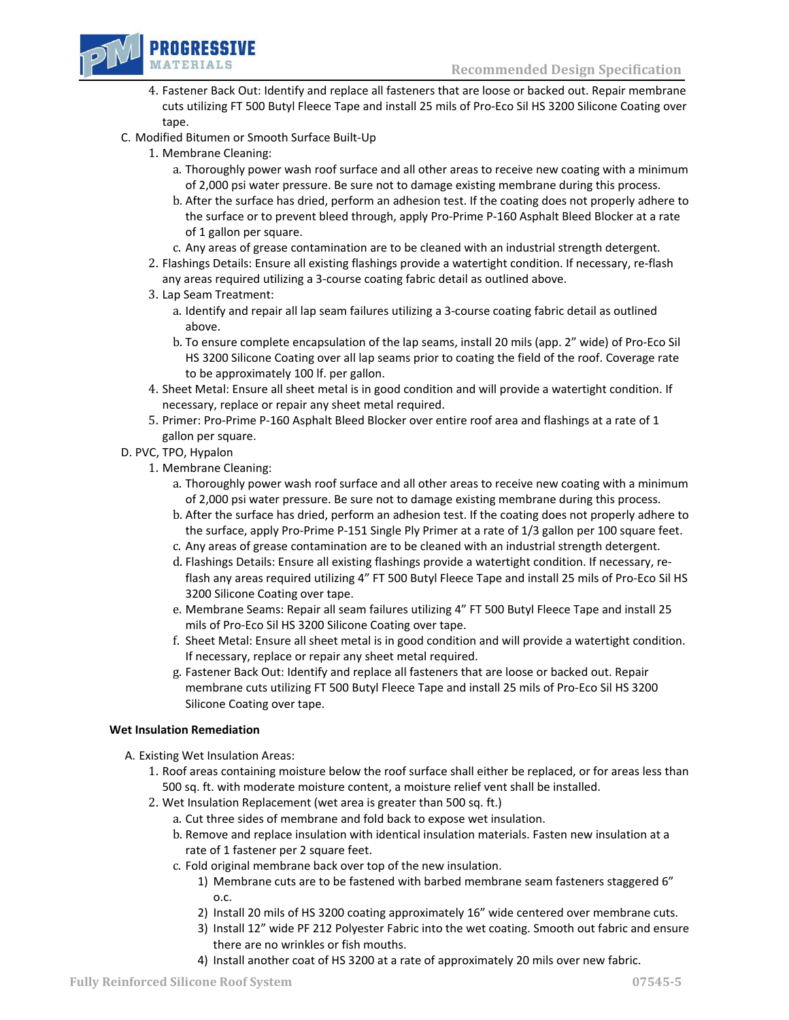

- 4. Fastener Back Out: Identify and replace all fasteners that are loose or backed out. Repair membrane cuts utilizing FT 500 Butyl Fleece Tape and install 25 mils of Pro-Eco Sil HS 3200 Silicone Coating over tape.
- C. Modified Bitumen or Smooth Surface Built-Up
	- 1. Membrane Cleaning:
		- a. Thoroughly power wash roof surface and all other areas to receive new coating with a minimum of 2,000 psi water pressure. Be sure not to damage existing membrane during this process.
		- b. After the surface has dried, perform an adhesion test. If the coating does not properly adhere to the surface or to prevent bleed through, apply Pro-Prime P-160 Asphalt Bleed Blocker at a rate of 1 gallon per square.
		- c. Any areas of grease contamination are to be cleaned with an industrial strength detergent.
	- 2. Flashings Details: Ensure all existing flashings provide a watertight condition. If necessary, re-flash any areas required utilizing a 3-course coating fabric detail as outlined above.
	- 3. Lap Seam Treatment:
		- a. Identify and repair all lap seam failures utilizing a 3-course coating fabric detail as outlined above.
		- b. To ensure complete encapsulation of the lap seams, install 20 mils (app. 2" wide) of Pro-Eco Sil HS 3200 Silicone Coating over all lap seams prior to coating the field of the roof. Coverage rate to be approximately 100 lf. per gallon.
	- 4. Sheet Metal: Ensure all sheet metal is in good condition and will provide a watertight condition. If necessary, replace or repair any sheet metal required.
	- 5. Primer: Pro-Prime P-160 Asphalt Bleed Blocker over entire roof area and flashings at a rate of 1 gallon per square.
- D. PVC, TPO, Hypalon
	- 1. Membrane Cleaning:
		- a. Thoroughly power wash roof surface and all other areas to receive new coating with a minimum of 2,000 psi water pressure. Be sure not to damage existing membrane during this process.
		- b. After the surface has dried, perform an adhesion test. If the coating does not properly adhere to the surface, apply Pro-Prime P-151 Single Ply Primer at a rate of 1/3 gallon per 100 square feet.
		- c. Any areas of grease contamination are to be cleaned with an industrial strength detergent.
		- d. Flashings Details: Ensure all existing flashings provide a watertight condition. If necessary, reflash any areas required utilizing 4" FT 500 Butyl Fleece Tape and install 25 mils of Pro-Eco Sil HS 3200 Silicone Coating over tape.
		- e. Membrane Seams: Repair all seam failures utilizing 4" FT 500 Butyl Fleece Tape and install 25 mils of Pro-Eco Sil HS 3200 Silicone Coating over tape.
		- f. Sheet Metal: Ensure all sheet metal is in good condition and will provide a watertight condition. If necessary, replace or repair any sheet metal required.
		- g. Fastener Back Out: Identify and replace all fasteners that are loose or backed out. Repair membrane cuts utilizing FT 500 Butyl Fleece Tape and install 25 mils of Pro-Eco Sil HS 3200 Silicone Coating over tape.

#### **Wet Insulation Remediation**

- A. Existing Wet Insulation Areas:
	- 1. Roof areas containing moisture below the roof surface shall either be replaced, or for areas less than 500 sq. ft. with moderate moisture content, a moisture relief vent shall be installed.
	- 2. Wet Insulation Replacement (wet area is greater than 500 sq. ft.)
		- a. Cut three sides of membrane and fold back to expose wet insulation.
		- b. Remove and replace insulation with identical insulation materials. Fasten new insulation at a rate of 1 fastener per 2 square feet.
		- c. Fold original membrane back over top of the new insulation.
			- 1) Membrane cuts are to be fastened with barbed membrane seam fasteners staggered 6" o.c.
			- 2) Install 20 mils of HS 3200 coating approximately 16" wide centered over membrane cuts.
			- 3) Install 12" wide PF 212 Polyester Fabric into the wet coating. Smooth out fabric and ensure there are no wrinkles or fish mouths.
			- 4) Install another coat of HS 3200 at a rate of approximately 20 mils over new fabric.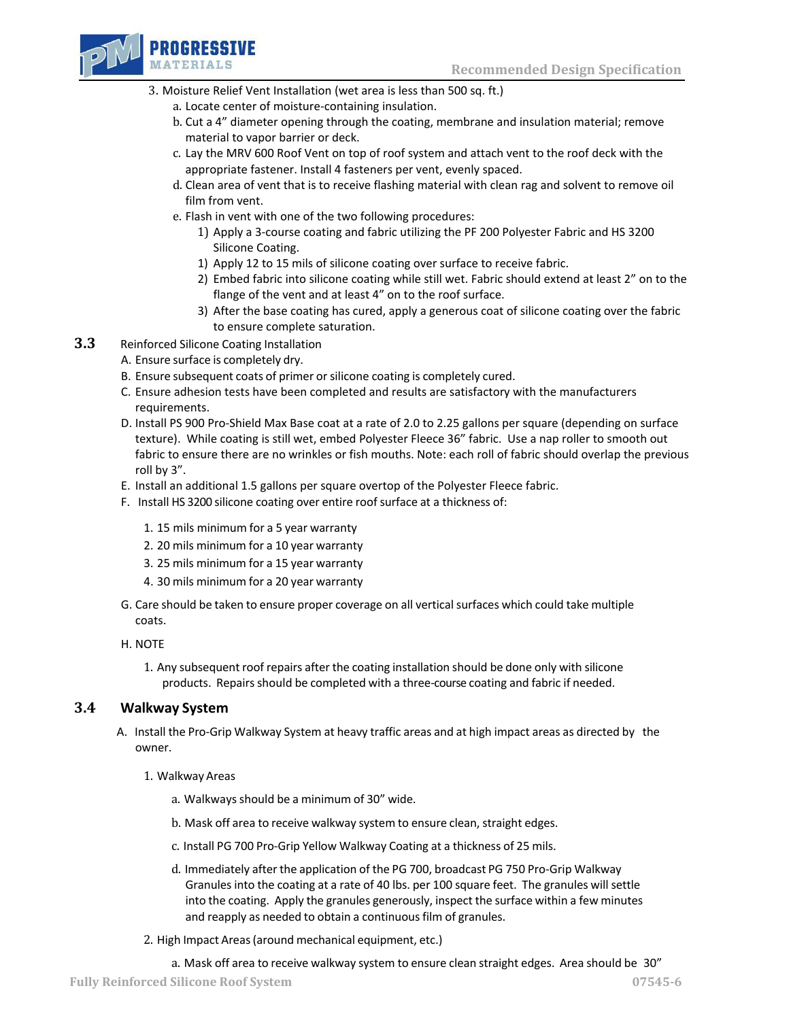

- 3. Moisture Relief Vent Installation (wet area is less than 500 sq. ft.)
	- a. Locate center of moisture-containing insulation.
	- b. Cut a 4" diameter opening through the coating, membrane and insulation material; remove material to vapor barrier or deck.
	- c. Lay the MRV 600 Roof Vent on top of roof system and attach vent to the roof deck with the appropriate fastener. Install 4 fasteners per vent, evenly spaced.
	- d. Clean area of vent that is to receive flashing material with clean rag and solvent to remove oil film from vent.
	- e. Flash in vent with one of the two following procedures:
		- 1) Apply a 3-course coating and fabric utilizing the PF 200 Polyester Fabric and HS 3200 Silicone Coating.
		- 1) Apply 12 to 15 mils of silicone coating over surface to receive fabric.
		- 2) Embed fabric into silicone coating while still wet. Fabric should extend at least 2" on to the flange of the vent and at least 4" on to the roof surface.
		- 3) After the base coating has cured, apply a generous coat of silicone coating over the fabric to ensure complete saturation.

### **3.3** Reinforced Silicone Coating Installation

- A. Ensure surface is completely dry.
- B. Ensure subsequent coats of primer or silicone coating is completely cured.
- C. Ensure adhesion tests have been completed and results are satisfactory with the manufacturers requirements.
- D. Install PS 900 Pro-Shield Max Base coat at a rate of 2.0 to 2.25 gallons per square (depending on surface texture). While coating is still wet, embed Polyester Fleece 36" fabric. Use a nap roller to smooth out fabric to ensure there are no wrinkles or fish mouths. Note: each roll of fabric should overlap the previous roll by 3".
- E. Install an additional 1.5 gallons per square overtop of the Polyester Fleece fabric.
- F. Install HS 3200 silicone coating over entire roof surface at a thickness of:
	- 1. 15 mils minimum for a 5 year warranty
	- 2. 20 mils minimum for a 10 year warranty
	- 3. 25 mils minimum for a 15 year warranty
	- 4. 30 mils minimum for a 20 year warranty
- G. Care should be taken to ensure proper coverage on all vertical surfaces which could take multiple coats.
- H. NOTE
	- 1. Any subsequent roof repairs after the coating installation should be done only with silicone products. Repairsshould be completed with a three-course coating and fabric if needed.

### **3.4 Walkway System**

- A. Install the Pro-Grip Walkway System at heavy traffic areas and at high impact areas as directed by the owner.
	- 1. Walkway Areas
		- a. Walkways should be a minimum of 30" wide.
		- b. Mask off area to receive walkway system to ensure clean, straight edges.
		- c. Install PG 700 Pro-Grip Yellow Walkway Coating at a thickness of 25 mils.
		- d. Immediately after the application of the PG 700, broadcast PG 750 Pro-Grip Walkway Granules into the coating at a rate of 40 lbs. per 100 square feet. The granules will settle into the coating. Apply the granules generously, inspect the surface within a few minutes and reapply as needed to obtain a continuous film of granules.
	- 2. High Impact Areas(around mechanical equipment, etc.)
		- a. Mask off area to receive walkway system to ensure clean straight edges. Area should be 30"